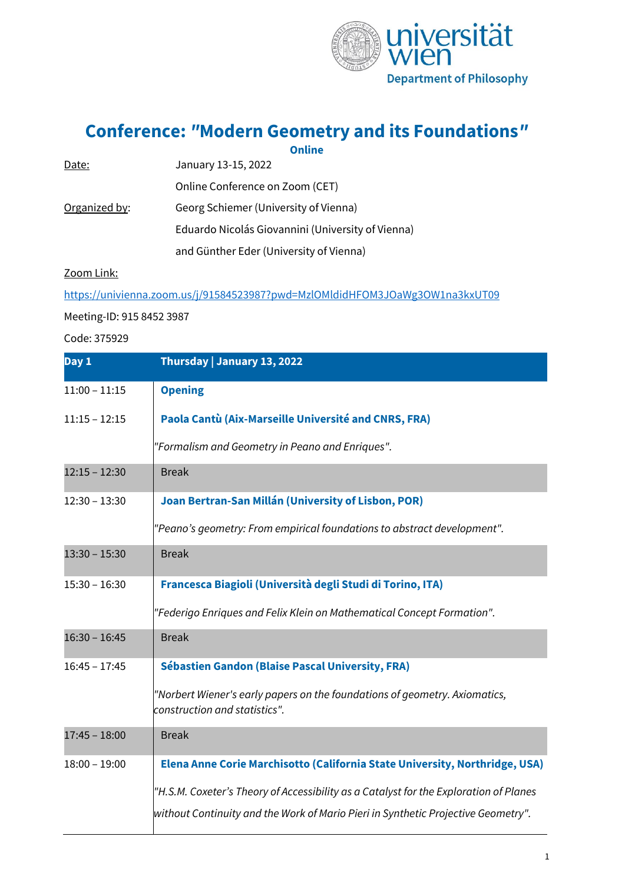

**Conference:** *"***Modern Geometry and its Foundations***"*

|               | <b>Online</b>                                     |
|---------------|---------------------------------------------------|
| Date:         | January 13-15, 2022                               |
|               | Online Conference on Zoom (CET)                   |
| Organized by: | Georg Schiemer (University of Vienna)             |
|               | Eduardo Nicolás Giovannini (University of Vienna) |
|               | and Günther Eder (University of Vienna)           |

Zoom Link:

<https://univienna.zoom.us/j/91584523987?pwd=MzlOMldidHFOM3JOaWg3OW1na3kxUT09>

## Meeting-ID: 915 8452 3987

Code: 375929

| Day 1           | Thursday   January 13, 2022                                                                                 |
|-----------------|-------------------------------------------------------------------------------------------------------------|
| $11:00 - 11:15$ | <b>Opening</b>                                                                                              |
| $11:15 - 12:15$ | Paola Cantù (Aix-Marseille Université and CNRS, FRA)                                                        |
|                 | "Formalism and Geometry in Peano and Enriques".                                                             |
| $12:15 - 12:30$ | <b>Break</b>                                                                                                |
| $12:30 - 13:30$ | Joan Bertran-San Millán (University of Lisbon, POR)                                                         |
|                 | "Peano's geometry: From empirical foundations to abstract development".                                     |
| $13:30 - 15:30$ | <b>Break</b>                                                                                                |
| $15:30 - 16:30$ | Francesca Biagioli (Università degli Studi di Torino, ITA)                                                  |
|                 | "Federigo Enriques and Felix Klein on Mathematical Concept Formation".                                      |
| $16:30 - 16:45$ | <b>Break</b>                                                                                                |
| $16:45 - 17:45$ | Sébastien Gandon (Blaise Pascal University, FRA)                                                            |
|                 | 'Norbert Wiener's early papers on the foundations of geometry. Axiomatics,<br>construction and statistics". |
| $17:45 - 18:00$ | <b>Break</b>                                                                                                |
| $18:00 - 19:00$ | Elena Anne Corie Marchisotto (California State University, Northridge, USA)                                 |
|                 | "H.S.M. Coxeter's Theory of Accessibility as a Catalyst for the Exploration of Planes                       |
|                 | without Continuity and the Work of Mario Pieri in Synthetic Projective Geometry".                           |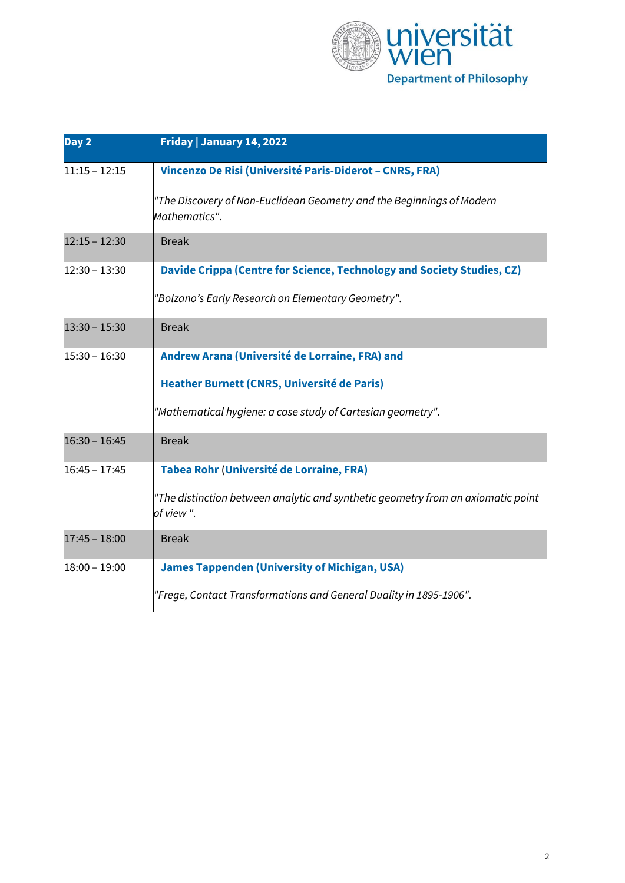

| Day 2           | Friday   January 14, 2022                                                                     |
|-----------------|-----------------------------------------------------------------------------------------------|
| $11:15 - 12:15$ | Vincenzo De Risi (Université Paris-Diderot - CNRS, FRA)                                       |
|                 | "The Discovery of Non-Euclidean Geometry and the Beginnings of Modern<br>Mathematics".        |
| $12:15 - 12:30$ | <b>Break</b>                                                                                  |
| $12:30 - 13:30$ | Davide Crippa (Centre for Science, Technology and Society Studies, CZ)                        |
|                 | "Bolzano's Early Research on Elementary Geometry".                                            |
| $13:30 - 15:30$ | <b>Break</b>                                                                                  |
| $15:30 - 16:30$ | Andrew Arana (Université de Lorraine, FRA) and                                                |
|                 | Heather Burnett (CNRS, Université de Paris)                                                   |
|                 | "Mathematical hygiene: a case study of Cartesian geometry".                                   |
| $16:30 - 16:45$ | <b>Break</b>                                                                                  |
| $16:45 - 17:45$ | <b>Tabea Rohr (Université de Lorraine, FRA)</b>                                               |
|                 | "The distinction between analytic and synthetic geometry from an axiomatic point<br>of view". |
| $17:45 - 18:00$ | <b>Break</b>                                                                                  |
| $18:00 - 19:00$ | <b>James Tappenden (University of Michigan, USA)</b>                                          |
|                 | "Frege, Contact Transformations and General Duality in 1895-1906".                            |